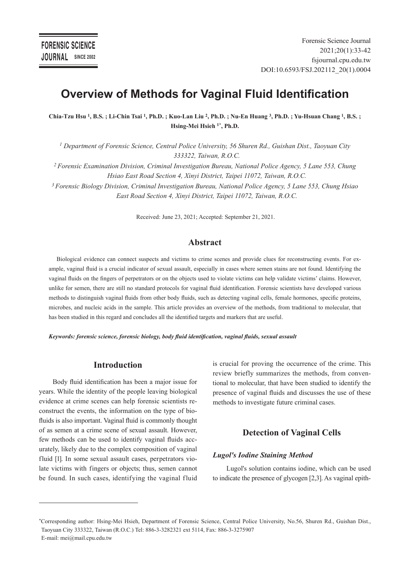# **Overview of Methods for Vaginal Fluid Identification**

**Chia-Tzu Hsu 1, B.S. ; Li-Chin Tsai 1, Ph.D. ; Kuo-Lan Liu 2, Ph.D. ; Nu-En Huang 3, Ph.D. ; Yu-Hsuan Chang 1, B.S. ; Hsing-Mei Hsieh 1\*, Ph.D.** 

*1 Department of Forensic Science, Central Police University, 56 Shuren Rd., Guishan Dist., Taoyuan City 333322, Taiwan, R.O.C.*

*2 Forensic Examination Division, Criminal Investigation Bureau, National Police Agency, 5 Lane 553, Chung Hsiao East Road Section 4, Xinyi District, Taipei 11072, Taiwan, R.O.C.*

*3 Forensic Biology Division, Criminal Investigation Bureau, National Police Agency, 5 Lane 553, Chung Hsiao East Road Section 4, Xinyi District, Taipei 11072, Taiwan, R.O.C.*

Received: June 23, 2021; Accepted: September 21, 2021.

#### **Abstract**

Biological evidence can connect suspects and victims to crime scenes and provide clues for reconstructing events. For example, vaginal fluid is a crucial indicator of sexual assault, especially in cases where semen stains are not found. Identifying the vaginal fluids on the fingers of perpetrators or on the objects used to violate victims can help validate victims' claims. However, unlike for semen, there are still no standard protocols for vaginal fluid identification. Forensic scientists have developed various methods to distinguish vaginal fluids from other body fluids, such as detecting vaginal cells, female hormones, specific proteins, microbes, and nucleic acids in the sample. This article provides an overview of the methods, from traditional to molecular, that has been studied in this regard and concludes all the identified targets and markers that are useful.

*Keywords: forensic science, forensic biology, body fluid identification, vaginal fluids, sexual assault*

# **Introduction**

Body fluid identification has been a major issue for years. While the identity of the people leaving biological evidence at crime scenes can help forensic scientists reconstruct the events, the information on the type of biofluids is also important. Vaginal fluid is commonly thought of as semen at a crime scene of sexual assault. However, few methods can be used to identify vaginal fluids accurately, likely due to the complex composition of vaginal fluid [1]. In some sexual assault cases, perpetrators violate victims with fingers or objects; thus, semen cannot be found. In such cases, identifying the vaginal fluid

is crucial for proving the occurrence of the crime. This review briefly summarizes the methods, from conventional to molecular, that have been studied to identify the presence of vaginal fluids and discusses the use of these methods to investigate future criminal cases.

# **Detection of Vaginal Cells**

#### *Lugol's Iodine Staining Method*

Lugol's solution contains iodine, which can be used to indicate the presence of glycogen [2,3]. As vaginal epith-

<sup>\*</sup>Corresponding author: Hsing-Mei Hsieh, Department of Forensic Science, Central Police University, No.56, Shuren Rd., Guishan Dist., Taoyuan City 333322, Taiwan (R.O.C.) Tel: 886-3-3282321 ext 5114, Fax: 886-3-3275907 E-mail: mei@mail.cpu.edu.tw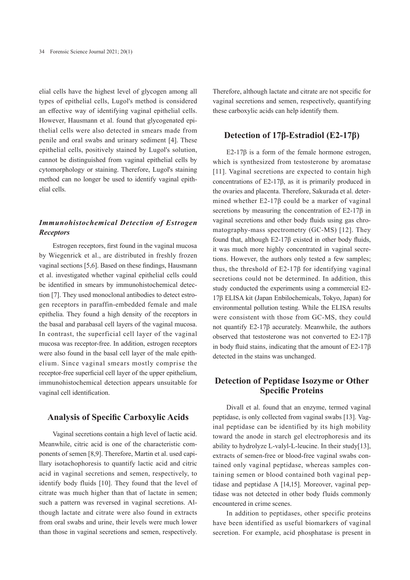elial cells have the highest level of glycogen among all types of epithelial cells, Lugol's method is considered an effective way of identifying vaginal epithelial cells. However, Hausmann et al. found that glycogenated epithelial cells were also detected in smears made from penile and oral swabs and urinary sediment [4]. These epithelial cells, positively stained by Lugol's solution, cannot be distinguished from vaginal epithelial cells by cytomorphology or staining. Therefore, Lugol's staining method can no longer be used to identify vaginal epithelial cells.

# *Immunohistochemical Detection of Estrogen Receptors*

Estrogen receptors, first found in the vaginal mucosa by Wiegenrick et al., are distributed in freshly frozen vaginal sections [5,6]. Based on these findings, Hausmann et al. investigated whether vaginal epithelial cells could be identified in smears by immunohistochemical detection [7]. They used monoclonal antibodies to detect estrogen receptors in paraffin-embedded female and male epithelia. They found a high density of the receptors in the basal and parabasal cell layers of the vaginal mucosa. In contrast, the superficial cell layer of the vaginal mucosa was receptor-free. In addition, estrogen receptors were also found in the basal cell layer of the male epithelium. Since vaginal smears mostly comprise the receptor-free superficial cell layer of the upper epithelium, immunohistochemical detection appears unsuitable for vaginal cell identification.

#### **Analysis of Specific Carboxylic Acids**

Vaginal secretions contain a high level of lactic acid. Meanwhile, citric acid is one of the characteristic components of semen [8,9]. Therefore, Martin et al. used capillary isotachophoresis to quantify lactic acid and citric acid in vaginal secretions and semen, respectively, to identify body fluids [10]. They found that the level of citrate was much higher than that of lactate in semen; such a pattern was reversed in vaginal secretions. Although lactate and citrate were also found in extracts from oral swabs and urine, their levels were much lower than those in vaginal secretions and semen, respectively.

Therefore, although lactate and citrate are not specific for vaginal secretions and semen, respectively, quantifying these carboxylic acids can help identify them.

# **Detection of 17β-Estradiol (E2-17β)**

E2-17β is a form of the female hormone estrogen, which is synthesized from testosterone by aromatase [11]. Vaginal secretions are expected to contain high concentrations of E2-17β, as it is primarily produced in the ovaries and placenta. Therefore, Sakurada et al. determined whether E2-17β could be a marker of vaginal secretions by measuring the concentration of E2-17β in vaginal secretions and other body fluids using gas chromatography-mass spectrometry (GC-MS) [12]. They found that, although E2-17β existed in other body fluids, it was much more highly concentrated in vaginal secretions. However, the authors only tested a few samples; thus, the threshold of E2-17β for identifying vaginal secretions could not be determined. In addition, this study conducted the experiments using a commercial E2- 17β ELISA kit (Japan Enbilochemicals, Tokyo, Japan) for environmental pollution testing. While the ELISA results were consistent with those from GC-MS, they could not quantify E2-17β accurately. Meanwhile, the authors observed that testosterone was not converted to E2-17β in body fluid stains, indicating that the amount of E2-17β detected in the stains was unchanged.

# **Detection of Peptidase Isozyme or Other Specific Proteins**

Divall et al. found that an enzyme, termed vaginal peptidase, is only collected from vaginal swabs [13]. Vaginal peptidase can be identified by its high mobility toward the anode in starch gel electrophoresis and its ability to hydrolyze L-valyl-L-leucine. In their study[13], extracts of semen-free or blood-free vaginal swabs contained only vaginal peptidase, whereas samples containing semen or blood contained both vaginal peptidase and peptidase A [14,15]. Moreover, vaginal peptidase was not detected in other body fluids commonly encountered in crime scenes.

In addition to peptidases, other specific proteins have been identified as useful biomarkers of vaginal secretion. For example, acid phosphatase is present in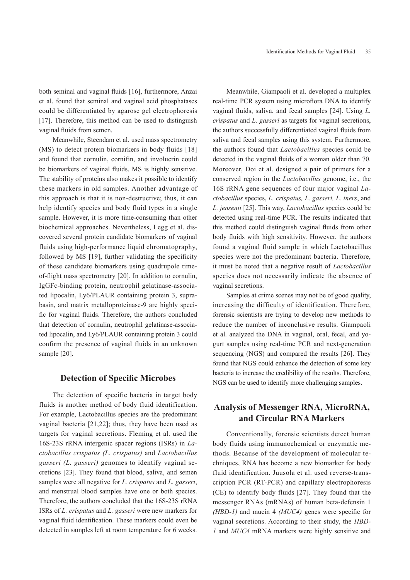both seminal and vaginal fluids [16], furthermore, Anzai et al. found that seminal and vaginal acid phosphatases could be differentiated by agarose gel electrophoresis [17]. Therefore, this method can be used to distinguish vaginal fluids from semen.

Meanwhile, Steendam et al. used mass spectrometry (MS) to detect protein biomarkers in body fluids [18] and found that cornulin, cornifin, and involucrin could be biomarkers of vaginal fluids. MS is highly sensitive. The stability of proteins also makes it possible to identify these markers in old samples. Another advantage of this approach is that it is non-destructive; thus, it can help identify species and body fluid types in a single sample. However, it is more time-consuming than other biochemical approaches. Nevertheless, Legg et al. discovered several protein candidate biomarkers of vaginal fluids using high-performance liquid chromatography, followed by MS [19], further validating the specificity of these candidate biomarkers using quadrupole timeof-flight mass spectrometry [20]. In addition to cornulin, IgGFc-binding protein, neutrophil gelatinase-associated lipocalin, Ly6/PLAUR containing protein 3, suprabasin, and matrix metalloproteinase-9 are highly specific for vaginal fluids. Therefore, the authors concluded that detection of cornulin, neutrophil gelatinase-associated lipocalin, and Ly6/PLAUR containing protein 3 could confirm the presence of vaginal fluids in an unknown sample [20].

#### **Detection of Specific Microbes**

The detection of specific bacteria in target body fluids is another method of body fluid identification. For example, Lactobacillus species are the predominant vaginal bacteria [21,22]; thus, they have been used as targets for vaginal secretions. Fleming et al. used the 16S-23S rRNA intergenic spacer regions (ISRs) in *Lactobacillus crispatus (L. crispatus)* and *Lactobacillus gasseri (L. gasseri)* genomes to identify vaginal secretions [23]. They found that blood, saliva, and semen samples were all negative for *L. crispatus* and *L. gasseri*, and menstrual blood samples have one or both species. Therefore, the authors concluded that the 16S-23S rRNA ISRs of *L. crispatus* and *L. gasseri* were new markers for vaginal fluid identification. These markers could even be detected in samples left at room temperature for 6 weeks.

Meanwhile, Giampaoli et al. developed a multiplex real-time PCR system using microflora DNA to identify vaginal fluids, saliva, and fecal samples [24]. Using *L. crispatus* and *L. gasseri* as targets for vaginal secretions, the authors successfully differentiated vaginal fluids from saliva and fecal samples using this system. Furthermore, the authors found that *Lactobacillus* species could be detected in the vaginal fluids of a woman older than 70. Moreover, Doi et al. designed a pair of primers for a conserved region in the *Lactobacillus* genome, i.e., the 16S rRNA gene sequences of four major vaginal *Lactobacillus* species, *L. crispatus, L. gasseri, L. iners*, and *L. jensenii* [25]. This way, *Lactobacillus* species could be detected using real-time PCR. The results indicated that this method could distinguish vaginal fluids from other body fluids with high sensitivity. However, the authors found a vaginal fluid sample in which Lactobacillus species were not the predominant bacteria. Therefore, it must be noted that a negative result of *Lactobacillus* species does not necessarily indicate the absence of vaginal secretions.

Samples at crime scenes may not be of good quality, increasing the difficulty of identification. Therefore, forensic scientists are trying to develop new methods to reduce the number of inconclusive results. Giampaoli et al. analyzed the DNA in vaginal, oral, fecal, and yogurt samples using real-time PCR and next-generation sequencing (NGS) and compared the results [26]. They found that NGS could enhance the detection of some key bacteria to increase the credibility of the results. Therefore, NGS can be used to identify more challenging samples.

# **Analysis of Messenger RNA, MicroRNA, and Circular RNA Markers**

Conventionally, forensic scientists detect human body fluids using immunochemical or enzymatic methods. Because of the development of molecular techniques, RNA has become a new biomarker for body fluid identification. Juusola et al. used reverse-transcription PCR (RT-PCR) and capillary electrophoresis (CE) to identify body fluids [27]. They found that the messenger RNAs (mRNAs) of human beta-defensin 1 *(HBD-1)* and mucin 4 *(MUC4)* genes were specific for vaginal secretions. According to their study, the *HBD-1* and *MUC4* mRNA markers were highly sensitive and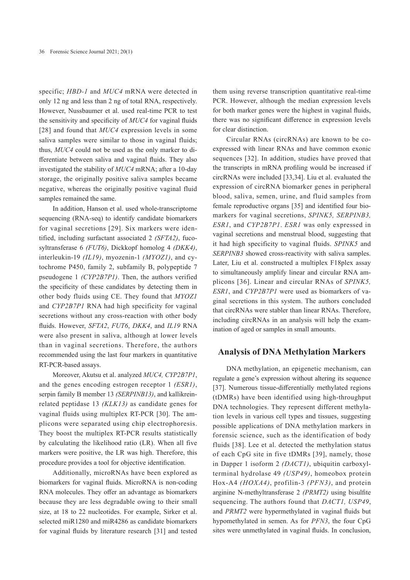specific; *HBD-1* and *MUC4* mRNA were detected in only 12 ng and less than 2 ng of total RNA, respectively. However, Nussbaumer et al. used real-time PCR to test the sensitivity and specificity of *MUC4* for vaginal fluids [28] and found that *MUC4* expression levels in some saliva samples were similar to those in vaginal fluids; thus, *MUC4* could not be used as the only marker to differentiate between saliva and vaginal fluids. They also investigated the stability of *MUC4* mRNA; after a 10-day storage, the originally positive saliva samples became negative, whereas the originally positive vaginal fluid samples remained the same.

In addition, Hanson et al. used whole-transcriptome sequencing (RNA-seq) to identify candidate biomarkers for vaginal secretions [29]. Six markers were identified, including surfactant associated 2 *(SFTA2)*, fucosyltransferase 6 *(FUT6)*, Dickkopf homolog 4 *(DKK4)*, interleukin-19 *(IL19)*, myozenin-1 *(MYOZ1)*, and cytochrome P450, family 2, subfamily B, polypeptide 7 pseudogene 1 *(CYP2B7P1)*. Then, the authors verified the specificity of these candidates by detecting them in other body fluids using CE. They found that *MYOZ1* and *CYP2B7P1* RNA had high specificity for vaginal secretions without any cross-reaction with other body fluids. However, *SFTA2*, *FUT6*, *DKK4*, and *IL19* RNA were also present in saliva, although at lower levels than in vaginal secretions. Therefore, the authors recommended using the last four markers in quantitative RT-PCR-based assays.

Moreover, Akutsu et al. analyzed *MUC4, CYP2B7P1*, and the genes encoding estrogen receptor 1 *(ESR1)*, serpin family B member 13 *(SERPINB13)*, and kallikreinrelated peptidase 13 *(KLK13)* as candidate genes for vaginal fluids using multiplex RT-PCR [30]. The amplicons were separated using chip electrophoresis. They boost the multiplex RT-PCR results statistically by calculating the likelihood ratio (LR). When all five markers were positive, the LR was high. Therefore, this procedure provides a tool for objective identification.

Additionally, microRNAs have been explored as biomarkers for vaginal fluids. MicroRNA is non-coding RNA molecules. They offer an advantage as biomarkers because they are less degradable owing to their small size, at 18 to 22 nucleotides. For example, Sirker et al. selected miR1280 and miR4286 as candidate biomarkers for vaginal fluids by literature research [31] and tested

them using reverse transcription quantitative real-time PCR. However, although the median expression levels for both marker genes were the highest in vaginal fluids, there was no significant difference in expression levels for clear distinction.

Circular RNAs (circRNAs) are known to be coexpressed with linear RNAs and have common exonic sequences [32]. In addition, studies have proved that the transcripts in mRNA profiling would be increased if circRNAs were included [33,34]. Liu et al. evaluated the expression of circRNA biomarker genes in peripheral blood, saliva, semen, urine, and fluid samples from female reproductive organs [35] and identified four biomarkers for vaginal secretions, *SPINK5, SERPINB3, ESR1*, and *CYP2B7P1*. *ESR1* was only expressed in vaginal secretions and menstrual blood, suggesting that it had high specificity to vaginal fluids. *SPINK5* and *SERPINB3* showed cross-reactivity with saliva samples. Later, Liu et al. constructed a multiplex F18plex assay to simultaneously amplify linear and circular RNA amplicons [36]. Linear and circular RNAs of *SPINK5, ESR1*, and *CYP2B7P1* were used as biomarkers of vaginal secretions in this system. The authors concluded that circRNAs were stabler than linear RNAs. Therefore, including circRNAs in an analysis will help the examination of aged or samples in small amounts.

# **Analysis of DNA Methylation Markers**

DNA methylation, an epigenetic mechanism, can regulate a gene's expression without altering its sequence [37]. Numerous tissue-differentially methylated regions (tDMRs) have been identified using high-throughput DNA technologies. They represent different methylation levels in various cell types and tissues, suggesting possible applications of DNA methylation markers in forensic science, such as the identification of body fluids [38]. Lee et al. detected the methylation status of each CpG site in five tDMRs [39], namely, those in Dapper 1 isoform 2 *(DACT1)*, ubiquitin carboxylterminal hydrolase 49 *(USP49)*, homeobox protein Hox-A4 *(HOXA4)*, profilin-3 *(PFN3)*, and protein arginine N-methyltransferase 2 *(PRMT2)* using bisulfite sequencing. The authors found that *DACT1, USP49*, and *PRMT2* were hypermethylated in vaginal fluids but hypomethylated in semen. As for *PFN3*, the four CpG sites were unmethylated in vaginal fluids. In conclusion,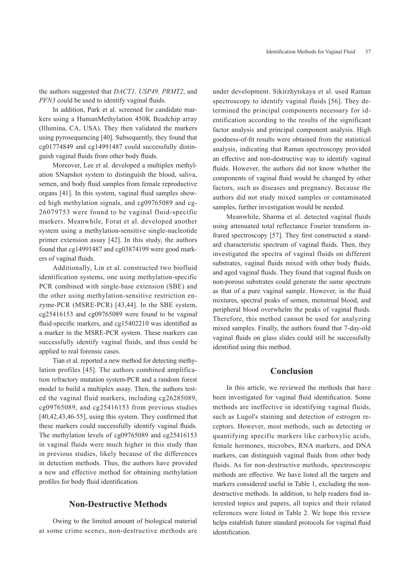the authors suggested that *DACT1, USP49, PRMT2*, and *PFN3* could be used to identify vaginal fluids.

In addition, Park et al. screened for candidate markers using a HumanMethylation 450K Beadchip array (Illumina, CA, USA). They then validated the markers using pyrosequencing [40]. Subsequently, they found that cg01774849 and cg14991487 could successfully distinguish vaginal fluids from other body fluids.

Moreover, Lee et al. developed a multiplex methylation SNapshot system to distinguish the blood, saliva, semen, and body fluid samples from female reproductive organs [41]. In this system, vaginal fluid samples showed high methylation signals, and  $cg09765089$  and  $cg-$ 26079753 were found to be vaginal fluid-specific markers. Meanwhile, Forat et al. developed another system using a methylation-sensitive single-nucleotide primer extension assay [42]. In this study, the authors found that cg14991487 and cg03874199 were good markers of vaginal fluids.

Additionally, Lin et al. constructed two biofluid identification systems, one using methylation-specific PCR combined with single-base extension (SBE) and the other using methylation-sensitive restriction enzyme-PCR (MSRE-PCR) [43,44]. In the SBE system, cg25416153 and cg09765089 were found to be vaginal fluid-specific markers, and cg15402210 was identified as a marker in the MSRE-PCR system. These markers can successfully identify vaginal fluids, and thus could be applied to real forensic cases.

Tian et al. reported a new method for detecting methylation profiles [45]. The authors combined amplification refractory mutation system-PCR and a random forest model to build a multiplex assay. Then, the authors tested the vaginal fluid markers, including cg26285089, cg09765089, and cg25416153 from previous studies [40,42,43,46-55], using this system. They confirmed that these markers could successfully identify vaginal fluids. The methylation levels of cg09765089 and cg25416153 in vaginal fluids were much higher in this study than in previous studies, likely because of the differences in detection methods. Thus, the authors have provided a new and effective method for obtaining methylation profiles for body fluid identification.

#### **Non-Destructive Methods**

Owing to the limited amount of biological material at some crime scenes, non-destructive methods are under development. Sikirzhytskaya et al. used Raman spectroscopy to identify vaginal fluids [56]. They determined the principal components necessary for identification according to the results of the significant factor analysis and principal component analysis. High goodness-of-fit results were obtained from the statistical analysis, indicating that Raman spectroscopy provided an effective and non-destructive way to identify vaginal fluids. However, the authors did not know whether the components of vaginal fluid would be changed by other factors, such as diseases and pregnancy. Because the authors did not study mixed samples or contaminated samples, further investigation would be needed.

Meanwhile, Sharma et al. detected vaginal fluids using attenuated total reflectance Fourier transform infrared spectroscopy [57]. They first constructed a standard characteristic spectrum of vaginal fluids. Then, they investigated the spectra of vaginal fluids on different substrates, vaginal fluids mixed with other body fluids, and aged vaginal fluids. They found that vaginal fluids on non-porous substrates could generate the same spectrum as that of a pure vaginal sample. However, in the fluid mixtures, spectral peaks of semen, menstrual blood, and peripheral blood overwhelm the peaks of vaginal fluids. Therefore, this method cannot be used for analyzing mixed samples. Finally, the authors found that 7-day-old vaginal fluids on glass slides could still be successfully identified using this method.

### **Conclusion**

In this article, we reviewed the methods that have been investigated for vaginal fluid identification. Some methods are ineffective in identifying vaginal fluids, such as Lugol's staining and detection of estrogen receptors. However, most methods, such as detecting or quantifying specific markers like carboxylic acids, female hormones, microbes, RNA markers, and DNA markers, can distinguish vaginal fluids from other body fluids. As for non-destructive methods, spectroscopic methods are effective. We have listed all the targets and markers considered useful in Table 1, excluding the nondestructive methods. In addition, to help readers find interested topics and papers, all topics and their related references were listed in Table 2. We hope this review helps establish future standard protocols for vaginal fluid identification.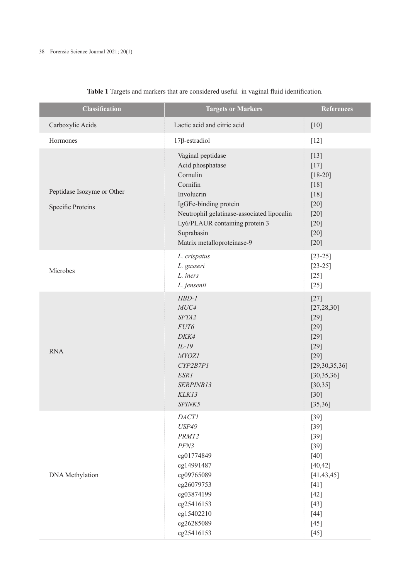| <b>Classification</b>                                  | <b>Targets or Markers</b>                                                                                                                                                                                                        | <b>References</b>                                                                                                                           |
|--------------------------------------------------------|----------------------------------------------------------------------------------------------------------------------------------------------------------------------------------------------------------------------------------|---------------------------------------------------------------------------------------------------------------------------------------------|
| Carboxylic Acids                                       | Lactic acid and citric acid                                                                                                                                                                                                      | $[10]$                                                                                                                                      |
| Hormones                                               | $17\beta$ -estradiol                                                                                                                                                                                                             | $[12]$                                                                                                                                      |
| Peptidase Isozyme or Other<br><b>Specific Proteins</b> | Vaginal peptidase<br>Acid phosphatase<br>Cornulin<br>Cornifin<br>Involucrin<br>IgGFc-binding protein<br>Neutrophil gelatinase-associated lipocalin<br>Ly6/PLAUR containing protein 3<br>Suprabasin<br>Matrix metalloproteinase-9 | $[13]$<br>$[17]$<br>$[18-20]$<br>$[18]$<br>$[18]$<br>$[20]$<br>$[20]$<br>$[20]$<br>$[20]$<br>$[20]$                                         |
| Microbes                                               | L. crispatus<br>L. gasseri<br>L. iners<br>L. jensenii                                                                                                                                                                            | $[23-25]$<br>$[23-25]$<br>$[25]$<br>$[25]$                                                                                                  |
| <b>RNA</b>                                             | $HBD-1$<br>MUC4<br>SFTA2<br>FUT6<br>DKK4<br>$IL-19$<br><b>MYOZ1</b><br>CYP2B7P1<br>ESR1<br>SERPINB13<br>KLK13<br>SPINK5                                                                                                          | $[27]$<br>[27, 28, 30]<br>$[29]$<br>$[29]$<br>$[29]$<br>$[29]$<br>$[29]$<br>[29,30,35,36]<br>[30, 35, 36]<br>[30, 35]<br>$[30]$<br>[35, 36] |
| DNA Methylation                                        | <b>DACTI</b><br><b>USP49</b><br>PRMT2<br>PFN3<br>cg01774849<br>cg14991487<br>cg09765089<br>cg26079753<br>cg03874199<br>cg25416153<br>cg15402210<br>cg26285089<br>cg25416153                                                      | $[39]$<br>$[39]$<br>$[39]$<br>$[39]$<br>$[40]$<br>[40, 42]<br>[41, 43, 45]<br>$[41]$<br>$[42]$<br>$[43]$<br>$[44]$<br>$[45]$<br>$[45]$      |

# **Table 1** Targets and markers that are considered useful in vaginal fluid identification.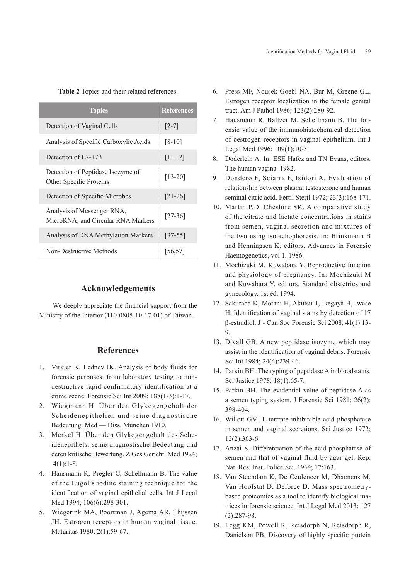**Table 2** Topics and their related references.

| <b>Topics</b>                                                    | <b>References</b> |
|------------------------------------------------------------------|-------------------|
| Detection of Vaginal Cells                                       | $[2-7]$           |
| Analysis of Specific Carboxylic Acids                            | $[8-10]$          |
| Detection of E2-17 $\beta$                                       | [11, 12]          |
| Detection of Peptidase Isozyme of<br>Other Specific Proteins     | $[13-20]$         |
| Detection of Specific Microbes                                   | $[21-26]$         |
| Analysis of Messenger RNA,<br>MicroRNA, and Circular RNA Markers | $[27-36]$         |
| Analysis of DNA Methylation Markers                              | $[37-55]$         |
| Non-Destructive Methods                                          | [56, 57]          |

#### **Acknowledgements**

We deeply appreciate the financial support from the Ministry of the Interior (110-0805-10-17-01) of Taiwan.

# **References**

- 1. Virkler K, Lednev IK. Analysis of body fluids for forensic purposes: from laboratory testing to nondestructive rapid confirmatory identification at a crime scene. Forensic Sci Int 2009; 188(1-3):1-17.
- 2. Wiegmann H. Über den Glykogengehalt der Scheidenepithelien und seine diagnostische Bedeutung. Med — Diss, München 1910.
- 3. Merkel H. Über den Glykogengehalt des Scheidenepithels, seine diagnostische Bedeutung und deren kritische Bewertung. Z Ges Gerichtl Med 1924;  $4(1):1-8.$
- 4. Hausmann R, Pregler C, Schellmann B. The value of the Lugol's iodine staining technique for the identification of vaginal epithelial cells. Int J Legal Med 1994; 106(6):298-301.
- 5. Wiegerink MA, Poortman J, Agema AR, Thijssen JH. Estrogen receptors in human vaginal tissue. Maturitas 1980; 2(1):59-67.
- 6. Press MF, Nousek-Goebl NA, Bur M, Greene GL. Estrogen receptor localization in the female genital tract. Am J Pathol 1986; 123(2):280-92.
- 7. Hausmann R, Baltzer M, Schellmann B. The forensic value of the immunohistochemical detection of oestrogen receptors in vaginal epithelium. Int J Legal Med 1996; 109(1):10-3.
- 8. Doderlein A. In: ESE Hafez and TN Evans, editors. The human vagina. 1982.
- 9. Dondero F, Sciarra F, Isidori A. Evaluation of relationship between plasma testosterone and human seminal citric acid. Fertil Steril 1972; 23(3):168-171.
- 10. Martin P.D. Cheshire SK. A comparative study of the citrate and lactate concentrations in stains from semen, vaginal secretion and mixtures of the two using isotachophoresis. In: Brinkmann B and Henningsen K, editors. Advances in Forensic Haemogenetics, vol 1. 1986.
- 11. Mochizuki M, Kuwabara Y. Reproductive function and physiology of pregnancy. In: Mochizuki M and Kuwabara Y, editors. Standard obstetrics and gynecology. 1st ed. 1994.
- 12. Sakurada K, Motani H, Akutsu T, Ikegaya H, Iwase H. Identification of vaginal stains by detection of 17 β-estradiol. J - Can Soc Forensic Sci 2008; 41(1):13- 9.
- 13. Divall GB. A new peptidase isozyme which may assist in the identification of vaginal debris. Forensic Sci Int 1984; 24(4):239-46.
- 14. Parkin BH. The typing of peptidase A in bloodstains. Sci Justice 1978; 18(1):65-7.
- 15. Parkin BH. The evidential value of peptidase A as a semen typing system. J Forensic Sci 1981; 26(2): 398-404.
- 16. Willott GM. L-tartrate inhibitable acid phosphatase in semen and vaginal secretions. Sci Justice 1972; 12(2):363-6.
- 17. Anzai S. Differentiation of the acid phosphatase of semen and that of vaginal fluid by agar gel. Rep. Nat. Res. Inst. Police Sci. 1964; 17:163.
- 18. Van Steendam K, De Ceuleneer M, Dhaenens M, Van Hoofstat D, Deforce D. Mass spectrometrybased proteomics as a tool to identify biological matrices in forensic science. Int J Legal Med 2013; 127 (2):287-98.
- 19. Legg KM, Powell R, Reisdorph N, Reisdorph R, Danielson PB. Discovery of highly specific protein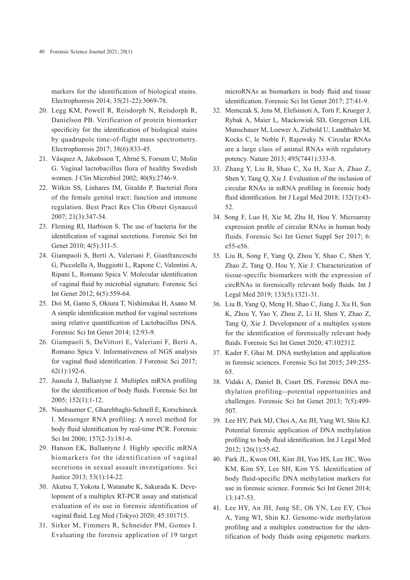markers for the identification of biological stains. Electrophoresis 2014; 35(21-22):3069-78.

- 20. Legg KM, Powell R, Reisdorph N, Reisdorph R, Danielson PB. Verification of protein biomarker specificity for the identification of biological stains by quadrupole time-of-flight mass spectrometry. Electrophoresis 2017; 38(6):833-45.
- 21. Vásquez A, Jakobsson T, Ahrné S, Forsum U, Molin G. Vaginal lactobacillus flora of healthy Swedish women. J Clin Microbiol 2002; 40(8):2746-9.
- 22. Witkin SS, Linhares IM, Giraldo P. Bacterial flora of the female genital tract: function and immune regulation. Best Pract Res Clin Obstet Gynaecol 2007; 21(3):347-54.
- 23. Fleming RI, Harbison S. The use of bacteria for the identification of vaginal secretions. Forensic Sci Int Genet 2010; 4(5):311-5.
- 24. Giampaoli S, Berti A, Valeriani F, Gianfranceschi G, Piccolella A, Buggiotti L, Rapone C, Valentini A, Ripani L, Romano Spica V. Molecular identification of vaginal fluid by microbial signature. Forensic Sci Int Genet 2012; 6(5):559-64.
- 25. Doi M, Gamo S, Okiura T, Nishimukai H, Asano M. A simple identification method for vaginal secretions using relative quantification of Lactobacillus DNA. Forensic Sci Int Genet 2014; 12:93-9.
- 26. Giampaoli S, DeVittori E, Valeriani F, Berti A, Romano Spica V. Informativeness of NGS analysis for vaginal fluid identification. J Forensic Sci 2017; 62(1):192-6.
- 27. Juusola J, Ballantyne J. Multiplex mRNA profiling for the identification of body fluids. Forensic Sci Int 2005; 152(1):1-12.
- 28. Nussbaumer C, Gharehbaghi-Schnell E, Korschineck I. Messenger RNA profiling: A novel method for body fluid identification by real-time PCR. Forensic Sci Int 2006; 157(2-3):181-6.
- 29. Hanson EK, Ballantyne J. Highly specific mRNA biomarkers for the identification of vaginal secretions in sexual assault investigations. Sci Justice 2013; 53(1):14-22.
- 30. Akutsu T, Yokota I, Watanabe K, Sakurada K. Development of a multiplex RT-PCR assay and statistical evaluation of its use in forensic identification of vaginal fluid. Leg Med (Tokyo) 2020; 45:101715.
- 31. Sirker M, Fimmers R, Schneider PM, Gomes I. Evaluating the forensic application of 19 target

microRNAs as biomarkers in body fluid and tissue identification. Forensic Sci Int Genet 2017; 27:41-9.

- 32. Memczak S, Jens M, Elefsinioti A, Torti F, Krueger J, Rybak A, Maier L, Mackowiak SD, Gregersen LH, Munschauer M, Loewer A, Ziebold U, Landthaler M, Kocks C, le Noble F, Rajewsky N. Circular RNAs are a large class of animal RNAs with regulatory potency. Nature 2013; 495(7441):333-8.
- 33. Zhang Y, Liu B, Shao C, Xu H, Xue A, Zhao Z, Shen Y, Tang Q, Xie J. Evaluation of the inclusion of circular RNAs in mRNA profiling in forensic body fluid identification. Int J Legal Med 2018; 132(1):43- 52.
- 34. Song F, Luo H, Xie M, Zhu H, Hou Y. Microarray expression profile of circular RNAs in human body fluids. Forensic Sci Int Genet Suppl Ser 2017; 6: e55-e56.
- 35. Liu B, Song F, Yang Q, Zhou Y, Shao C, Shen Y, Zhao Z, Tang Q, Hou Y, Xie J. Characterization of tissue-specific biomarkers with the expression of circRNAs in forensically relevant body fluids. Int J Legal Med 2019; 133(5):1321-31.
- 36. Liu B, Yang Q, Meng H, Shao C, Jiang J, Xu H, Sun K, Zhou Y, Yao Y, Zhou Z, Li H, Shen Y, Zhao Z, Tang Q, Xie J. Development of a multiplex system for the identification of forensically relevant body fluids. Forensic Sci Int Genet 2020; 47:102312.
- 37. Kader F, Ghai M. DNA methylation and application in forensic sciences. Forensic Sci Int 2015; 249:255- 65.
- 38. Vidaki A, Daniel B, Court DS. Forensic DNA methylation profiling--potential opportunities and challenges. Forensic Sci Int Genet 2013; 7(5):499- 507.
- 39. Lee HY, Park MJ, Choi A, An JH, Yang WI, Shin KJ. Potential forensic application of DNA methylation profiling to body fluid identification. Int J Legal Med 2012; 126(1):55-62.
- 40. Park JL, Kwon OH, Kim JH, Yoo HS, Lee HC, Woo KM, Kim SY, Lee SH, Kim YS. Identification of body fluid-specific DNA methylation markers for use in forensic science. Forensic Sci Int Genet 2014; 13:147-53.
- 41. Lee HY, An JH, Jung SE, Oh YN, Lee EY, Choi A, Yang WI, Shin KJ. Genome-wide methylation profiling and a multiplex construction for the identification of body fluids using epigenetic markers.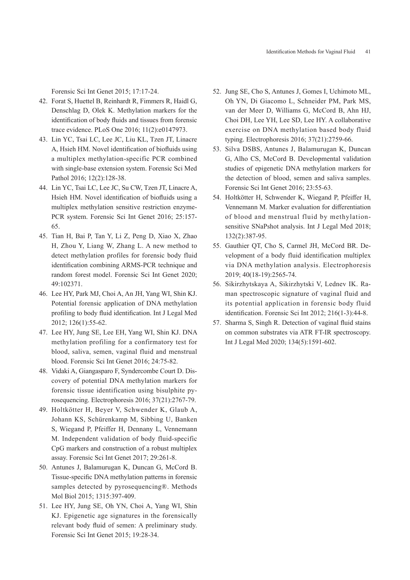Forensic Sci Int Genet 2015; 17:17-24.

- 42. Forat S, Huettel B, Reinhardt R, Fimmers R, Haidl G, Denschlag D, Olek K. Methylation markers for the identification of body fluids and tissues from forensic trace evidence. PLoS One 2016; 11(2):e0147973.
- 43. Lin YC, Tsai LC, Lee JC, Liu KL, Tzen JT, Linacre A, Hsieh HM. Novel identification of biofluids using a multiplex methylation-specific PCR combined with single-base extension system. Forensic Sci Med Pathol 2016; 12(2):128-38.
- 44. Lin YC, Tsai LC, Lee JC, Su CW, Tzen JT, Linacre A, Hsieh HM. Novel identification of biofluids using a multiplex methylation sensitive restriction enzyme-PCR system. Forensic Sci Int Genet 2016; 25:157- 65.
- 45. Tian H, Bai P, Tan Y, Li Z, Peng D, Xiao X, Zhao H, Zhou Y, Liang W, Zhang L. A new method to detect methylation profiles for forensic body fluid identification combining ARMS-PCR technique and random forest model. Forensic Sci Int Genet 2020; 49:102371.
- 46. Lee HY, Park MJ, Choi A, An JH, Yang WI, Shin KJ. Potential forensic application of DNA methylation profiling to body fluid identification. Int J Legal Med 2012; 126(1):55-62.
- 47. Lee HY, Jung SE, Lee EH, Yang WI, Shin KJ. DNA methylation profiling for a confirmatory test for blood, saliva, semen, vaginal fluid and menstrual blood. Forensic Sci Int Genet 2016; 24:75-82.
- 48. Vidaki A, Giangasparo F, Syndercombe Court D. Discovery of potential DNA methylation markers for forensic tissue identification using bisulphite pyrosequencing. Electrophoresis 2016; 37(21):2767-79.
- 49. Holtkötter H, Beyer V, Schwender K, Glaub A, Johann KS, Schürenkamp M, Sibbing U, Banken S, Wiegand P, Pfeiffer H, Dennany L, Vennemann M. Independent validation of body fluid-specific CpG markers and construction of a robust multiplex assay. Forensic Sci Int Genet 2017; 29:261-8.
- 50. Antunes J, Balamurugan K, Duncan G, McCord B. Tissue-specific DNA methylation patterns in forensic samples detected by pyrosequencing®. Methods Mol Biol 2015; 1315:397-409.
- 51. Lee HY, Jung SE, Oh YN, Choi A, Yang WI, Shin KJ. Epigenetic age signatures in the forensically relevant body fluid of semen: A preliminary study. Forensic Sci Int Genet 2015; 19:28-34.
- 52. Jung SE, Cho S, Antunes J, Gomes I, Uchimoto ML, Oh YN, Di Giacomo L, Schneider PM, Park MS, van der Meer D, Williams G, McCord B, Ahn HJ, Choi DH, Lee YH, Lee SD, Lee HY. A collaborative exercise on DNA methylation based body fluid typing. Electrophoresis 2016; 37(21):2759-66.
- 53. Silva DSBS, Antunes J, Balamurugan K, Duncan G, Alho CS, McCord B. Developmental validation studies of epigenetic DNA methylation markers for the detection of blood, semen and saliva samples. Forensic Sci Int Genet 2016; 23:55-63.
- 54. Holtkötter H, Schwender K, Wiegand P, Pfeiffer H, Vennemann M. Marker evaluation for differentiation of blood and menstrual fluid by methylationsensitive SNaPshot analysis. Int J Legal Med 2018; 132(2):387-95.
- 55. Gauthier QT, Cho S, Carmel JH, McCord BR. Development of a body fluid identification multiplex via DNA methylation analysis. Electrophoresis 2019; 40(18-19):2565-74.
- 56. Sikirzhytskaya A, Sikirzhytski V, Lednev IK. Raman spectroscopic signature of vaginal fluid and its potential application in forensic body fluid identification. Forensic Sci Int 2012; 216(1-3):44-8.
- 57. Sharma S, Singh R. Detection of vaginal fluid stains on common substrates via ATR FT-IR spectroscopy. Int J Legal Med 2020; 134(5):1591-602.